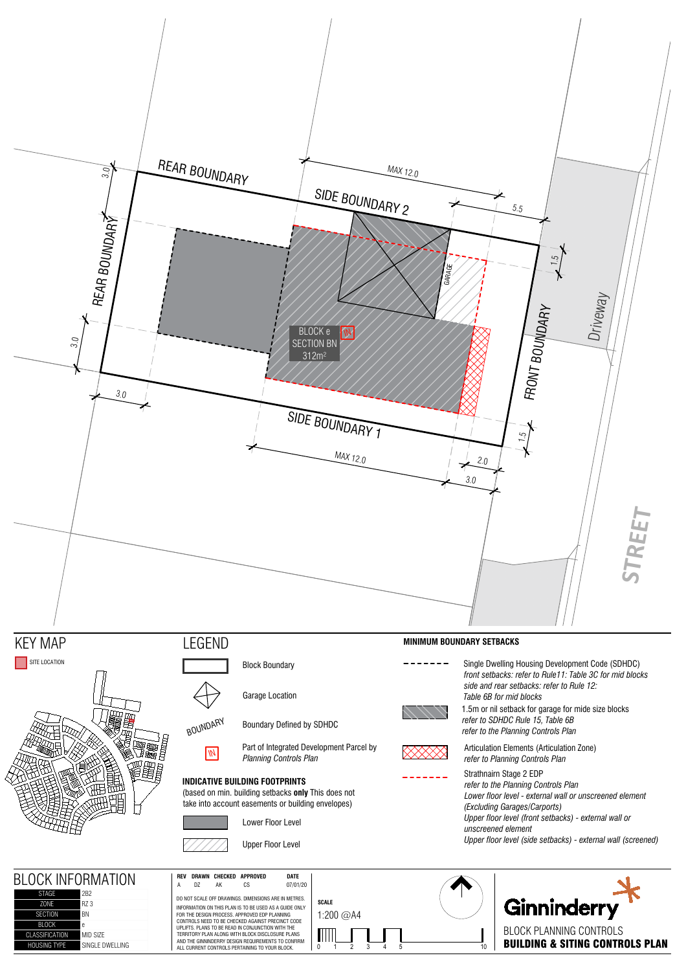